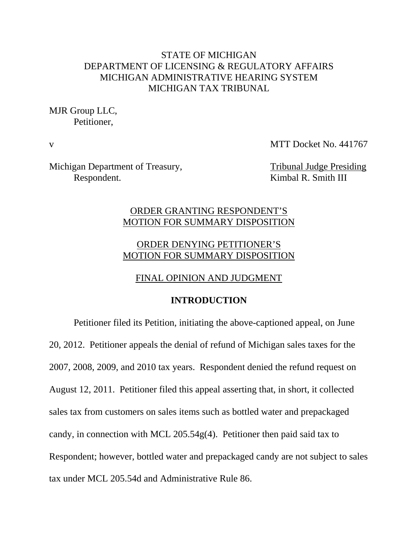## STATE OF MICHIGAN DEPARTMENT OF LICENSING & REGULATORY AFFAIRS MICHIGAN ADMINISTRATIVE HEARING SYSTEM MICHIGAN TAX TRIBUNAL

MJR Group LLC, Petitioner,

v MTT Docket No. 441767

Michigan Department of Treasury, Tribunal Judge Presiding Respondent. Kimbal R. Smith III

## ORDER GRANTING RESPONDENT'S MOTION FOR SUMMARY DISPOSITION

# ORDER DENYING PETITIONER'S MOTION FOR SUMMARY DISPOSITION

## FINAL OPINION AND JUDGMENT

### **INTRODUCTION**

Petitioner filed its Petition, initiating the above-captioned appeal, on June 20, 2012. Petitioner appeals the denial of refund of Michigan sales taxes for the 2007, 2008, 2009, and 2010 tax years. Respondent denied the refund request on August 12, 2011. Petitioner filed this appeal asserting that, in short, it collected sales tax from customers on sales items such as bottled water and prepackaged candy, in connection with MCL 205.54g(4). Petitioner then paid said tax to Respondent; however, bottled water and prepackaged candy are not subject to sales tax under MCL 205.54d and Administrative Rule 86.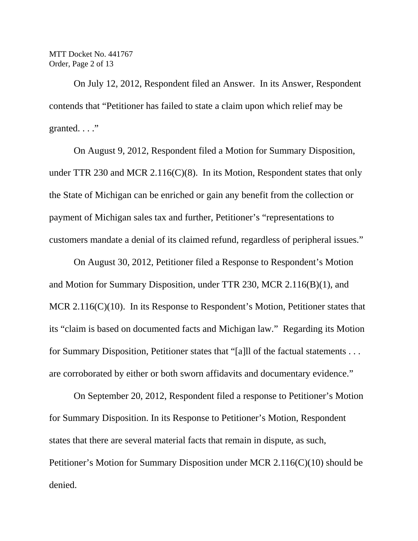MTT Docket No. 441767 Order, Page 2 of 13

On July 12, 2012, Respondent filed an Answer. In its Answer, Respondent contends that "Petitioner has failed to state a claim upon which relief may be granted. . . ."

On August 9, 2012, Respondent filed a Motion for Summary Disposition, under TTR 230 and MCR 2.116(C)(8). In its Motion, Respondent states that only the State of Michigan can be enriched or gain any benefit from the collection or payment of Michigan sales tax and further, Petitioner's "representations to customers mandate a denial of its claimed refund, regardless of peripheral issues."

On August 30, 2012, Petitioner filed a Response to Respondent's Motion and Motion for Summary Disposition, under TTR 230, MCR 2.116(B)(1), and MCR 2.116(C)(10). In its Response to Respondent's Motion, Petitioner states that its "claim is based on documented facts and Michigan law." Regarding its Motion for Summary Disposition, Petitioner states that "[a]ll of the factual statements . . . are corroborated by either or both sworn affidavits and documentary evidence."

On September 20, 2012, Respondent filed a response to Petitioner's Motion for Summary Disposition. In its Response to Petitioner's Motion, Respondent states that there are several material facts that remain in dispute, as such, Petitioner's Motion for Summary Disposition under MCR 2.116(C)(10) should be denied.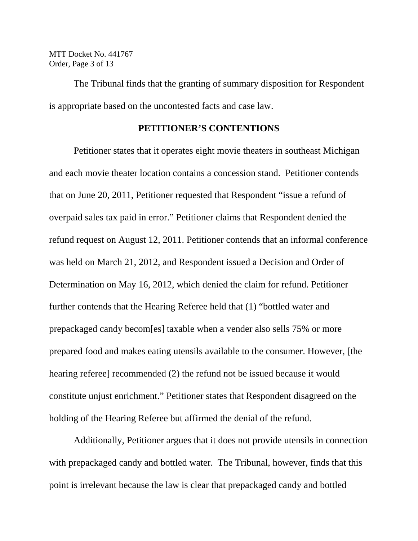MTT Docket No. 441767 Order, Page 3 of 13

The Tribunal finds that the granting of summary disposition for Respondent is appropriate based on the uncontested facts and case law.

#### **PETITIONER'S CONTENTIONS**

Petitioner states that it operates eight movie theaters in southeast Michigan and each movie theater location contains a concession stand. Petitioner contends that on June 20, 2011, Petitioner requested that Respondent "issue a refund of overpaid sales tax paid in error." Petitioner claims that Respondent denied the refund request on August 12, 2011. Petitioner contends that an informal conference was held on March 21, 2012, and Respondent issued a Decision and Order of Determination on May 16, 2012, which denied the claim for refund. Petitioner further contends that the Hearing Referee held that (1) "bottled water and prepackaged candy becom[es] taxable when a vender also sells 75% or more prepared food and makes eating utensils available to the consumer. However, [the hearing referee] recommended (2) the refund not be issued because it would constitute unjust enrichment." Petitioner states that Respondent disagreed on the holding of the Hearing Referee but affirmed the denial of the refund.

 Additionally, Petitioner argues that it does not provide utensils in connection with prepackaged candy and bottled water. The Tribunal, however, finds that this point is irrelevant because the law is clear that prepackaged candy and bottled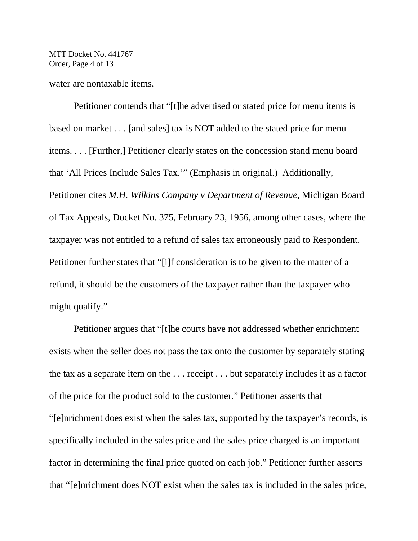MTT Docket No. 441767 Order, Page 4 of 13

water are nontaxable items.

Petitioner contends that "[t]he advertised or stated price for menu items is based on market . . . [and sales] tax is NOT added to the stated price for menu items. . . . [Further,] Petitioner clearly states on the concession stand menu board that 'All Prices Include Sales Tax.'" (Emphasis in original.) Additionally, Petitioner cites *M.H. Wilkins Company v Department of Revenue*, Michigan Board of Tax Appeals, Docket No. 375, February 23, 1956, among other cases, where the taxpayer was not entitled to a refund of sales tax erroneously paid to Respondent. Petitioner further states that "[i]f consideration is to be given to the matter of a refund, it should be the customers of the taxpayer rather than the taxpayer who might qualify."

Petitioner argues that "[t]he courts have not addressed whether enrichment exists when the seller does not pass the tax onto the customer by separately stating the tax as a separate item on the . . . receipt . . . but separately includes it as a factor of the price for the product sold to the customer." Petitioner asserts that "[e]nrichment does exist when the sales tax, supported by the taxpayer's records, is specifically included in the sales price and the sales price charged is an important factor in determining the final price quoted on each job." Petitioner further asserts that "[e]nrichment does NOT exist when the sales tax is included in the sales price,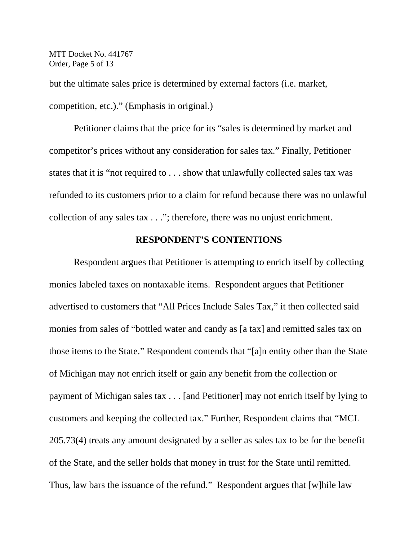MTT Docket No. 441767 Order, Page 5 of 13

but the ultimate sales price is determined by external factors (i.e. market, competition, etc.)." (Emphasis in original.)

Petitioner claims that the price for its "sales is determined by market and competitor's prices without any consideration for sales tax." Finally, Petitioner states that it is "not required to . . . show that unlawfully collected sales tax was refunded to its customers prior to a claim for refund because there was no unlawful collection of any sales tax . . ."; therefore, there was no unjust enrichment.

### **RESPONDENT'S CONTENTIONS**

Respondent argues that Petitioner is attempting to enrich itself by collecting monies labeled taxes on nontaxable items. Respondent argues that Petitioner advertised to customers that "All Prices Include Sales Tax," it then collected said monies from sales of "bottled water and candy as [a tax] and remitted sales tax on those items to the State." Respondent contends that "[a]n entity other than the State of Michigan may not enrich itself or gain any benefit from the collection or payment of Michigan sales tax . . . [and Petitioner] may not enrich itself by lying to customers and keeping the collected tax." Further, Respondent claims that "MCL 205.73(4) treats any amount designated by a seller as sales tax to be for the benefit of the State, and the seller holds that money in trust for the State until remitted. Thus, law bars the issuance of the refund." Respondent argues that [w]hile law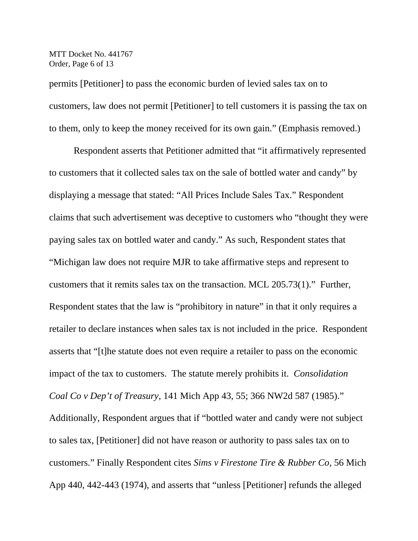MTT Docket No. 441767 Order, Page 6 of 13

permits [Petitioner] to pass the economic burden of levied sales tax on to customers, law does not permit [Petitioner] to tell customers it is passing the tax on to them, only to keep the money received for its own gain." (Emphasis removed.)

Respondent asserts that Petitioner admitted that "it affirmatively represented to customers that it collected sales tax on the sale of bottled water and candy" by displaying a message that stated: "All Prices Include Sales Tax." Respondent claims that such advertisement was deceptive to customers who "thought they were paying sales tax on bottled water and candy." As such, Respondent states that "Michigan law does not require MJR to take affirmative steps and represent to customers that it remits sales tax on the transaction. MCL 205.73(1)." Further, Respondent states that the law is "prohibitory in nature" in that it only requires a retailer to declare instances when sales tax is not included in the price. Respondent asserts that "[t]he statute does not even require a retailer to pass on the economic impact of the tax to customers. The statute merely prohibits it. *Consolidation Coal Co v Dep't of Treasury*, 141 Mich App 43, 55; 366 NW2d 587 (1985)." Additionally, Respondent argues that if "bottled water and candy were not subject to sales tax, [Petitioner] did not have reason or authority to pass sales tax on to customers." Finally Respondent cites *Sims v Firestone Tire & Rubber Co*, 56 Mich App 440, 442-443 (1974), and asserts that "unless [Petitioner] refunds the alleged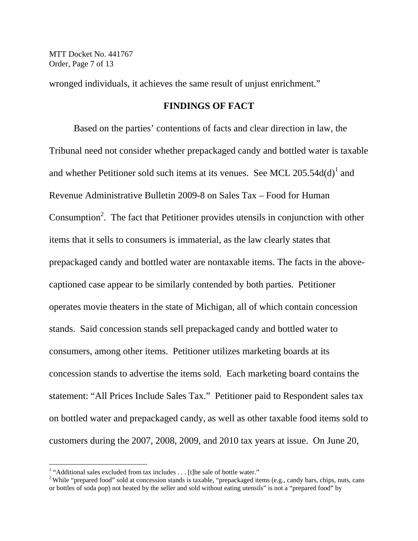MTT Docket No. 441767 Order, Page 7 of 13

wronged individuals, it achieves the same result of unjust enrichment."

## **FINDINGS OF FACT**

Based on the parties' contentions of facts and clear direction in law, the Tribunal need not consider whether prepackaged candy and bottled water is taxable and whether Petitioner sold such items at its venues. See MCL  $205.54d(d)^{1}$  and Revenue Administrative Bulletin 2009-8 on Sales Tax – Food for Human Consumption<sup>2</sup>. The fact that Petitioner provides utensils in conjunction with other items that it sells to consumers is immaterial, as the law clearly states that prepackaged candy and bottled water are nontaxable items. The facts in the abovecaptioned case appear to be similarly contended by both parties. Petitioner operates movie theaters in the state of Michigan, all of which contain concession stands. Said concession stands sell prepackaged candy and bottled water to consumers, among other items. Petitioner utilizes marketing boards at its concession stands to advertise the items sold. Each marketing board contains the statement: "All Prices Include Sales Tax." Petitioner paid to Respondent sales tax on bottled water and prepackaged candy, as well as other taxable food items sold to customers during the 2007, 2008, 2009, and 2010 tax years at issue. On June 20,

 $\overline{a}$ 

<sup>&</sup>lt;sup>1</sup> "Additional sales excluded from tax includes . . . [t]he sale of bottle water."

<sup>&</sup>lt;sup>2</sup> While "prepared food" sold at concession stands is taxable, "prepackaged items (e.g., candy bars, chips, nuts, cans or bottles of soda pop) not heated by the seller and sold without eating utensils" is not a "prepared food" by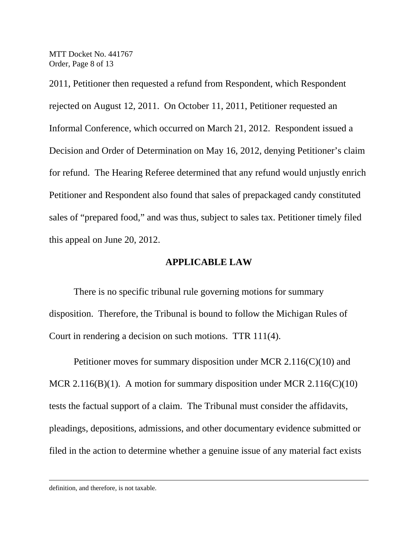MTT Docket No. 441767 Order, Page 8 of 13

2011, Petitioner then requested a refund from Respondent, which Respondent rejected on August 12, 2011. On October 11, 2011, Petitioner requested an Informal Conference, which occurred on March 21, 2012. Respondent issued a Decision and Order of Determination on May 16, 2012, denying Petitioner's claim for refund. The Hearing Referee determined that any refund would unjustly enrich Petitioner and Respondent also found that sales of prepackaged candy constituted sales of "prepared food," and was thus, subject to sales tax. Petitioner timely filed this appeal on June 20, 2012.

#### **APPLICABLE LAW**

There is no specific tribunal rule governing motions for summary disposition. Therefore, the Tribunal is bound to follow the Michigan Rules of Court in rendering a decision on such motions. TTR 111(4).

Petitioner moves for summary disposition under MCR 2.116(C)(10) and MCR 2.116(B)(1). A motion for summary disposition under MCR 2.116(C)(10) tests the factual support of a claim. The Tribunal must consider the affidavits, pleadings, depositions, admissions, and other documentary evidence submitted or filed in the action to determine whether a genuine issue of any material fact exists

 $\overline{a}$ 

definition, and therefore, is not taxable.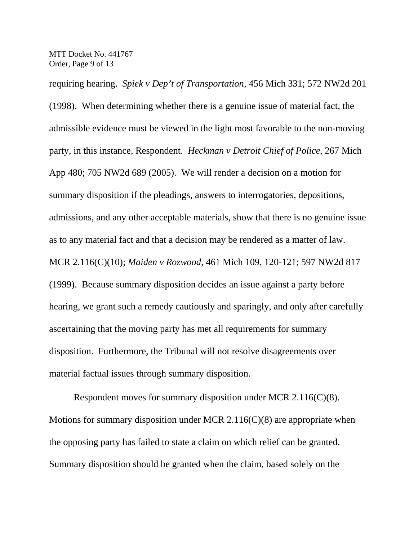MTT Docket No. 441767 Order, Page 9 of 13

requiring hearing. *Spiek v Dep't of Transportation*, 456 Mich 331; 572 NW2d 201 (1998). When determining whether there is a genuine issue of material fact, the admissible evidence must be viewed in the light most favorable to the non-moving party, in this instance, Respondent. *Heckman v Detroit Chief of Police*, 267 Mich App 480; 705 NW2d 689 (2005). We will render a decision on a motion for summary disposition if the pleadings, answers to interrogatories, depositions, admissions, and any other acceptable materials, show that there is no genuine issue as to any material fact and that a decision may be rendered as a matter of law. MCR 2.116(C)(10); *Maiden v Rozwood*, 461 Mich 109, 120-121; 597 NW2d 817 (1999). Because summary disposition decides an issue against a party before hearing, we grant such a remedy cautiously and sparingly, and only after carefully ascertaining that the moving party has met all requirements for summary disposition. Furthermore, the Tribunal will not resolve disagreements over material factual issues through summary disposition.

Respondent moves for summary disposition under MCR 2.116(C)(8). Motions for summary disposition under MCR 2.116 $(C)(8)$  are appropriate when the opposing party has failed to state a claim on which relief can be granted. Summary disposition should be granted when the claim, based solely on the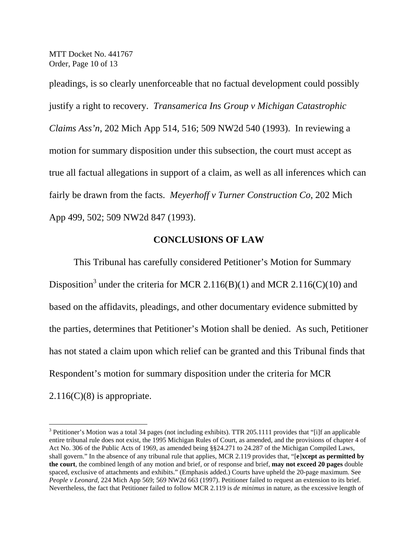MTT Docket No. 441767 Order, Page 10 of 13

 $\overline{a}$ 

pleadings, is so clearly unenforceable that no factual development could possibly justify a right to recovery. *Transamerica Ins Group v Michigan Catastrophic Claims Ass'n*, 202 Mich App 514, 516; 509 NW2d 540 (1993). In reviewing a motion for summary disposition under this subsection, the court must accept as true all factual allegations in support of a claim, as well as all inferences which can fairly be drawn from the facts. *Meyerhoff v Turner Construction Co*, 202 Mich App 499, 502; 509 NW2d 847 (1993).

## **CONCLUSIONS OF LAW**

This Tribunal has carefully considered Petitioner's Motion for Summary Disposition<sup>3</sup> under the criteria for MCR 2.116(B)(1) and MCR 2.116(C)(10) and based on the affidavits, pleadings, and other documentary evidence submitted by the parties, determines that Petitioner's Motion shall be denied. As such, Petitioner has not stated a claim upon which relief can be granted and this Tribunal finds that Respondent's motion for summary disposition under the criteria for MCR  $2.116(C)(8)$  is appropriate.

 $3$  Petitioner's Motion was a total 34 pages (not including exhibits). TTR 205.1111 provides that "[i]f an applicable entire tribunal rule does not exist, the 1995 Michigan Rules of Court, as amended, and the provisions of chapter 4 of Act No. 306 of the Public Acts of 1969, as amended being §§24.271 to 24.287 of the Michigan Compiled Laws, shall govern." In the absence of any tribunal rule that applies, MCR 2.119 provides that, "[**e**]**xcept as permitted by the court**, the combined length of any motion and brief, or of response and brief, **may not exceed 20 pages** double spaced, exclusive of attachments and exhibits." (Emphasis added.) Courts have upheld the 20-page maximum. See *People v Leonard*, 224 Mich App 569; 569 NW2d 663 (1997). Petitioner failed to request an extension to its brief. Nevertheless, the fact that Petitioner failed to follow MCR 2.119 is *de minimus* in nature, as the excessive length of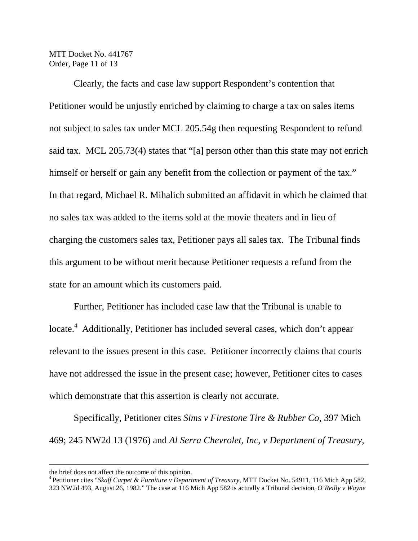MTT Docket No. 441767 Order, Page 11 of 13

Clearly, the facts and case law support Respondent's contention that Petitioner would be unjustly enriched by claiming to charge a tax on sales items not subject to sales tax under MCL 205.54g then requesting Respondent to refund said tax. MCL 205.73(4) states that "[a] person other than this state may not enrich himself or herself or gain any benefit from the collection or payment of the tax." In that regard, Michael R. Mihalich submitted an affidavit in which he claimed that no sales tax was added to the items sold at the movie theaters and in lieu of charging the customers sales tax, Petitioner pays all sales tax. The Tribunal finds this argument to be without merit because Petitioner requests a refund from the state for an amount which its customers paid.

Further, Petitioner has included case law that the Tribunal is unable to locate.<sup>4</sup> Additionally, Petitioner has included several cases, which don't appear relevant to the issues present in this case. Petitioner incorrectly claims that courts have not addressed the issue in the present case; however, Petitioner cites to cases which demonstrate that this assertion is clearly not accurate.

Specifically, Petitioner cites *Sims v Firestone Tire & Rubber Co*, 397 Mich 469; 245 NW2d 13 (1976) and *Al Serra Chevrolet, Inc, v Department of Treasury*,

the brief does not affect the outcome of this opinion.

<sup>4</sup> Petitioner cites "*Skaff Carpet & Furniture v Department of Treasury*, MTT Docket No. 54911, 116 Mich App 582, 323 NW2d 493, August 26, 1982." The case at 116 Mich App 582 is actually a Tribunal decision, *O'Reilly v Wayne*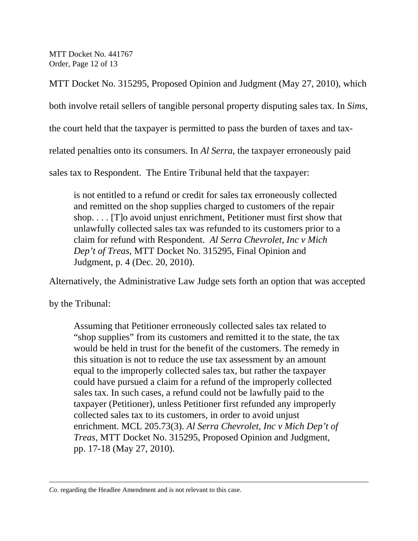MTT Docket No. 441767 Order, Page 12 of 13

MTT Docket No. 315295, Proposed Opinion and Judgment (May 27, 2010), which

both involve retail sellers of tangible personal property disputing sales tax. In *Sims*,

the court held that the taxpayer is permitted to pass the burden of taxes and tax-

related penalties onto its consumers. In *Al Serra*, the taxpayer erroneously paid

sales tax to Respondent. The Entire Tribunal held that the taxpayer:

is not entitled to a refund or credit for sales tax erroneously collected and remitted on the shop supplies charged to customers of the repair shop. . . . [T]o avoid unjust enrichment, Petitioner must first show that unlawfully collected sales tax was refunded to its customers prior to a claim for refund with Respondent. *Al Serra Chevrolet, Inc v Mich Dep't of Treas*, MTT Docket No. 315295, Final Opinion and Judgment, p. 4 (Dec. 20, 2010).

Alternatively, the Administrative Law Judge sets forth an option that was accepted

by the Tribunal:

 $\overline{a}$ 

Assuming that Petitioner erroneously collected sales tax related to "shop supplies" from its customers and remitted it to the state, the tax would be held in trust for the benefit of the customers. The remedy in this situation is not to reduce the use tax assessment by an amount equal to the improperly collected sales tax, but rather the taxpayer could have pursued a claim for a refund of the improperly collected sales tax. In such cases, a refund could not be lawfully paid to the taxpayer (Petitioner), unless Petitioner first refunded any improperly collected sales tax to its customers, in order to avoid unjust enrichment. MCL 205.73(3). *Al Serra Chevrolet, Inc v Mich Dep't of Treas*, MTT Docket No. 315295, Proposed Opinion and Judgment, pp. 17-18 (May 27, 2010).

*Co*. regarding the Headlee Amendment and is not relevant to this case.